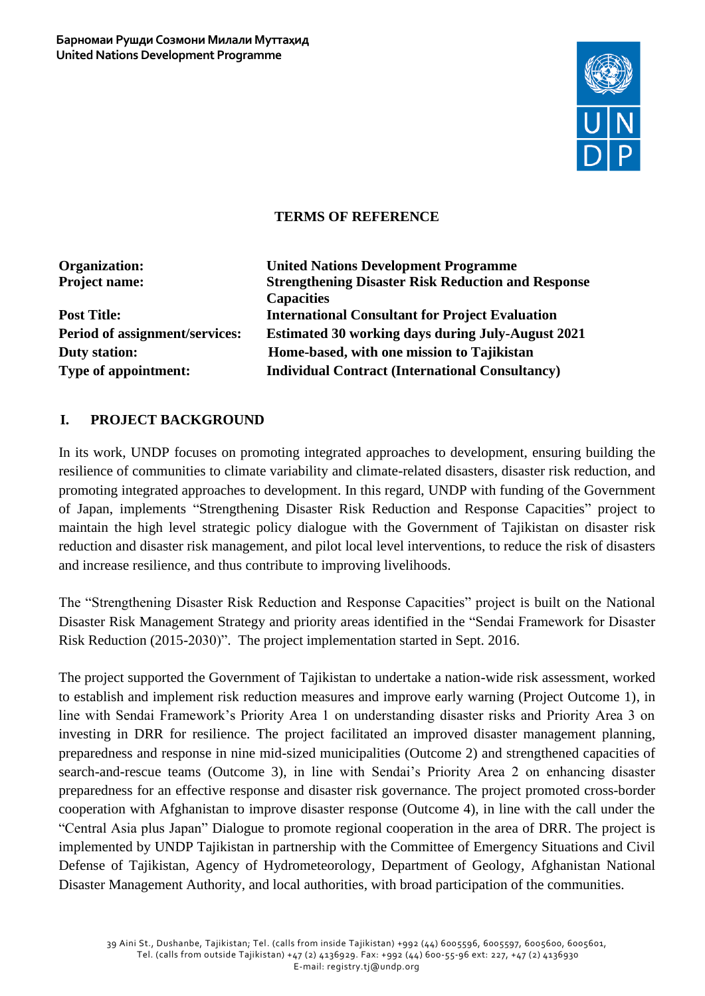

### **TERMS OF REFERENCE**

| <b>United Nations Development Programme</b>               |
|-----------------------------------------------------------|
| <b>Strengthening Disaster Risk Reduction and Response</b> |
| <b>Capacities</b>                                         |
| <b>International Consultant for Project Evaluation</b>    |
| <b>Estimated 30 working days during July-August 2021</b>  |
| Home-based, with one mission to Tajikistan                |
| <b>Individual Contract (International Consultancy)</b>    |
|                                                           |

### **I. PROJECT BACKGROUND**

In its work, UNDP focuses on promoting integrated approaches to development, ensuring building the resilience of communities to climate variability and climate-related disasters, disaster risk reduction, and promoting integrated approaches to development. In this regard, UNDP with funding of the Government of Japan, implements "Strengthening Disaster Risk Reduction and Response Capacities" project to maintain the high level strategic policy dialogue with the Government of Tajikistan on disaster risk reduction and disaster risk management, and pilot local level interventions, to reduce the risk of disasters and increase resilience, and thus contribute to improving livelihoods.

The "Strengthening Disaster Risk Reduction and Response Capacities" project is built on the National Disaster Risk Management Strategy and priority areas identified in the "Sendai Framework for Disaster Risk Reduction (2015-2030)". The project implementation started in Sept. 2016.

The project supported the Government of Tajikistan to undertake a nation-wide risk assessment, worked to establish and implement risk reduction measures and improve early warning (Project Outcome 1), in line with Sendai Framework's Priority Area 1 on understanding disaster risks and Priority Area 3 on investing in DRR for resilience. The project facilitated an improved disaster management planning, preparedness and response in nine mid-sized municipalities (Outcome 2) and strengthened capacities of search-and-rescue teams (Outcome 3), in line with Sendai's Priority Area 2 on enhancing disaster preparedness for an effective response and disaster risk governance. The project promoted cross-border cooperation with Afghanistan to improve disaster response (Outcome 4), in line with the call under the "Central Asia plus Japan" Dialogue to promote regional cooperation in the area of DRR. The project is implemented by UNDP Tajikistan in partnership with the Committee of Emergency Situations and Civil Defense of Tajikistan, Agency of Hydrometeorology, Department of Geology, Afghanistan National Disaster Management Authority, and local authorities, with broad participation of the communities.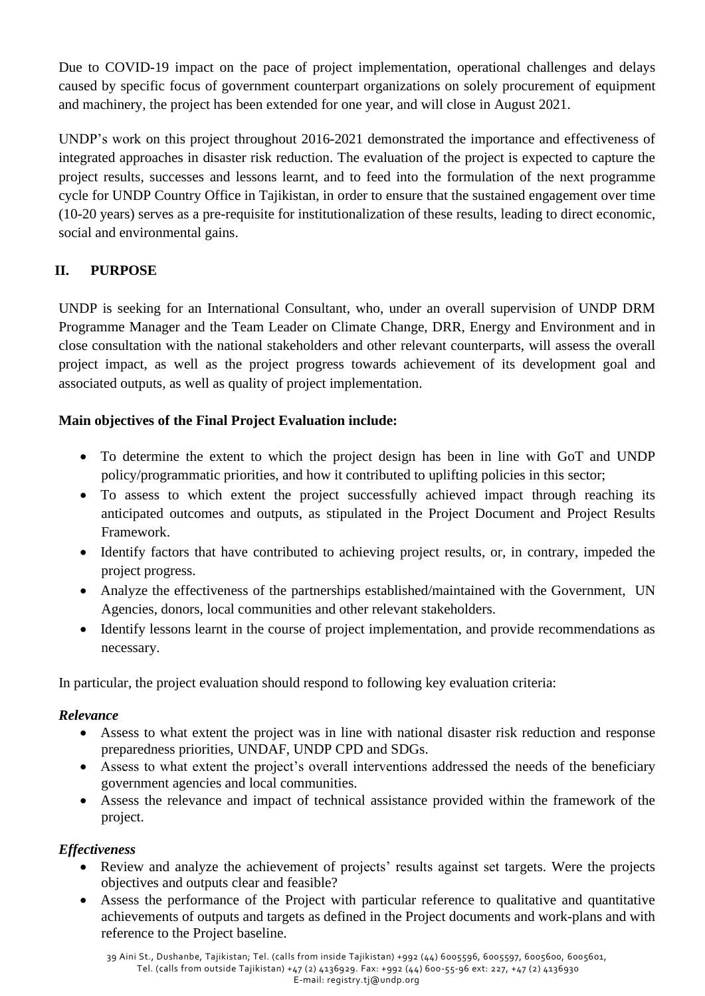Due to COVID-19 impact on the pace of project implementation, operational challenges and delays caused by specific focus of government counterpart organizations on solely procurement of equipment and machinery, the project has been extended for one year, and will close in August 2021.

UNDP's work on this project throughout 2016-2021 demonstrated the importance and effectiveness of integrated approaches in disaster risk reduction. The evaluation of the project is expected to capture the project results, successes and lessons learnt, and to feed into the formulation of the next programme cycle for UNDP Country Office in Tajikistan, in order to ensure that the sustained engagement over time (10-20 years) serves as a pre-requisite for institutionalization of these results, leading to direct economic, social and environmental gains.

# **II. PURPOSE**

UNDP is seeking for an International Consultant, who, under an overall supervision of UNDP DRM Programme Manager and the Team Leader on Climate Change, DRR, Energy and Environment and in close consultation with the national stakeholders and other relevant counterparts, will assess the overall project impact, as well as the project progress towards achievement of its development goal and associated outputs, as well as quality of project implementation.

## **Main objectives of the Final Project Evaluation include:**

- To determine the extent to which the project design has been in line with GoT and UNDP policy/programmatic priorities, and how it contributed to uplifting policies in this sector;
- To assess to which extent the project successfully achieved impact through reaching its anticipated outcomes and outputs, as stipulated in the Project Document and Project Results Framework.
- Identify factors that have contributed to achieving project results, or, in contrary, impeded the project progress.
- Analyze the effectiveness of the partnerships established/maintained with the Government, UN Agencies, donors, local communities and other relevant stakeholders.
- Identify lessons learnt in the course of project implementation, and provide recommendations as necessary.

In particular, the project evaluation should respond to following key evaluation criteria:

### *Relevance*

- Assess to what extent the project was in line with national disaster risk reduction and response preparedness priorities, UNDAF, UNDP CPD and SDGs.
- Assess to what extent the project's overall interventions addressed the needs of the beneficiary government agencies and local communities.
- Assess the relevance and impact of technical assistance provided within the framework of the project.

## *Effectiveness*

- Review and analyze the achievement of projects' results against set targets. Were the projects objectives and outputs clear and feasible?
- Assess the performance of the Project with particular reference to qualitative and quantitative achievements of outputs and targets as defined in the Project documents and work-plans and with reference to the Project baseline.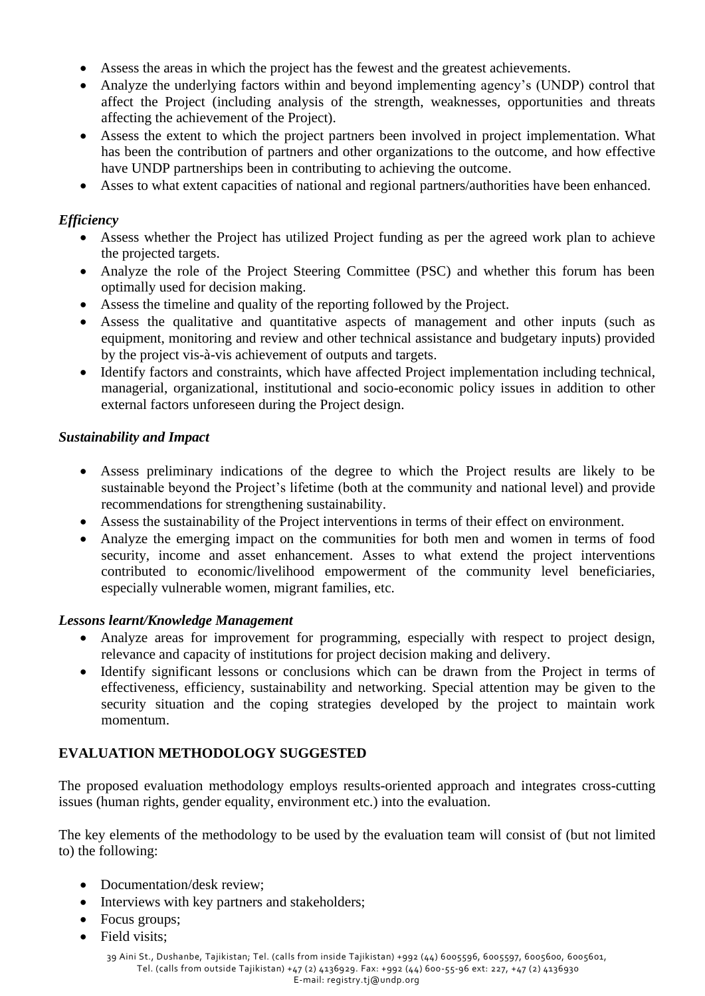- Assess the areas in which the project has the fewest and the greatest achievements.
- Analyze the underlying factors within and beyond implementing agency's (UNDP) control that affect the Project (including analysis of the strength, weaknesses, opportunities and threats affecting the achievement of the Project).
- Assess the extent to which the project partners been involved in project implementation. What has been the contribution of partners and other organizations to the outcome, and how effective have UNDP partnerships been in contributing to achieving the outcome.
- Asses to what extent capacities of national and regional partners/authorities have been enhanced.

### *Efficiency*

- Assess whether the Project has utilized Project funding as per the agreed work plan to achieve the projected targets.
- Analyze the role of the Project Steering Committee (PSC) and whether this forum has been optimally used for decision making.
- Assess the timeline and quality of the reporting followed by the Project.
- Assess the qualitative and quantitative aspects of management and other inputs (such as equipment, monitoring and review and other technical assistance and budgetary inputs) provided by the project vis-à-vis achievement of outputs and targets.
- Identify factors and constraints, which have affected Project implementation including technical, managerial, organizational, institutional and socio-economic policy issues in addition to other external factors unforeseen during the Project design.

### *Sustainability and Impact*

- Assess preliminary indications of the degree to which the Project results are likely to be sustainable beyond the Project's lifetime (both at the community and national level) and provide recommendations for strengthening sustainability.
- Assess the sustainability of the Project interventions in terms of their effect on environment.
- Analyze the emerging impact on the communities for both men and women in terms of food security, income and asset enhancement. Asses to what extend the project interventions contributed to economic/livelihood empowerment of the community level beneficiaries, especially vulnerable women, migrant families, etc.

### *Lessons learnt/Knowledge Management*

- Analyze areas for improvement for programming, especially with respect to project design, relevance and capacity of institutions for project decision making and delivery.
- Identify significant lessons or conclusions which can be drawn from the Project in terms of effectiveness, efficiency, sustainability and networking. Special attention may be given to the security situation and the coping strategies developed by the project to maintain work momentum.

## **EVALUATION METHODOLOGY SUGGESTED**

The proposed evaluation methodology employs results-oriented approach and integrates cross-cutting issues (human rights, gender equality, environment etc.) into the evaluation.

The key elements of the methodology to be used by the evaluation team will consist of (but not limited to) the following:

- Documentation/desk review;
- Interviews with key partners and stakeholders;
- Focus groups;
- Field visits;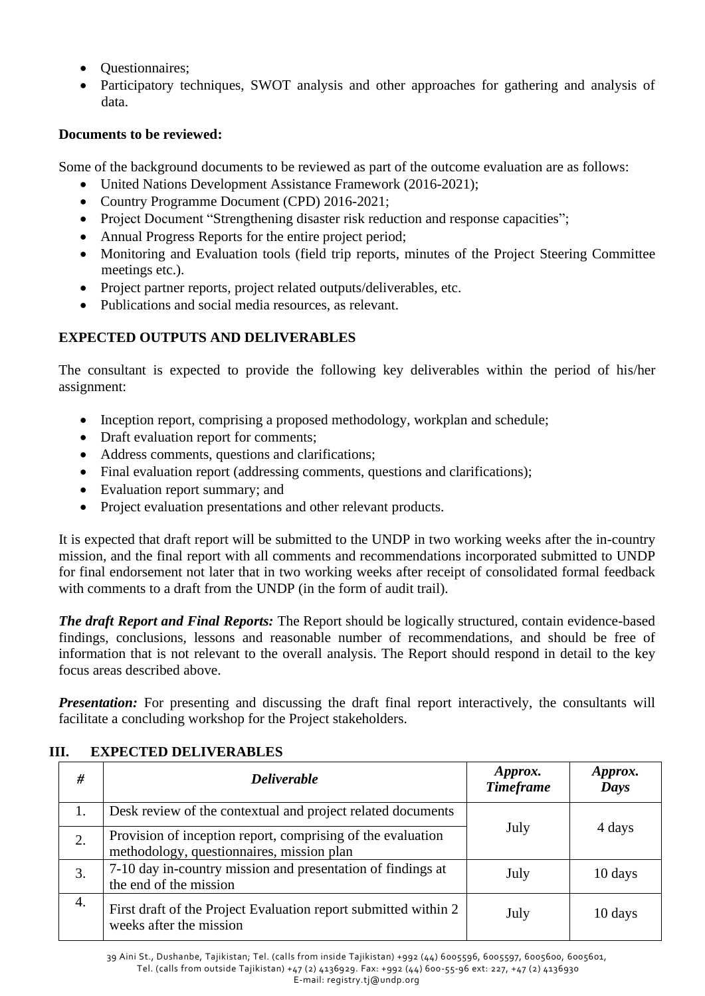- **Questionnaires**;
- Participatory techniques, SWOT analysis and other approaches for gathering and analysis of data.

# **Documents to be reviewed:**

Some of the background documents to be reviewed as part of the outcome evaluation are as follows:

- United Nations Development Assistance Framework (2016-2021);
- Country Programme Document (CPD) 2016-2021;
- Project Document "Strengthening disaster risk reduction and response capacities";
- Annual Progress Reports for the entire project period;
- Monitoring and Evaluation tools (field trip reports, minutes of the Project Steering Committee meetings etc.).
- Project partner reports, project related outputs/deliverables, etc.
- Publications and social media resources, as relevant.

# **EXPECTED OUTPUTS AND DELIVERABLES**

The consultant is expected to provide the following key deliverables within the period of his/her assignment:

- Inception report, comprising a proposed methodology, workplan and schedule;
- Draft evaluation report for comments;
- Address comments, questions and clarifications;
- Final evaluation report (addressing comments, questions and clarifications);
- Evaluation report summary; and
- Project evaluation presentations and other relevant products.

It is expected that draft report will be submitted to the UNDP in two working weeks after the in-country mission, and the final report with all comments and recommendations incorporated submitted to UNDP for final endorsement not later that in two working weeks after receipt of consolidated formal feedback with comments to a draft from the UNDP (in the form of audit trail).

*The draft Report and Final Reports:* The Report should be logically structured, contain evidence-based findings, conclusions, lessons and reasonable number of recommendations, and should be free of information that is not relevant to the overall analysis. The Report should respond in detail to the key focus areas described above.

**Presentation:** For presenting and discussing the draft final report interactively, the consultants will facilitate a concluding workshop for the Project stakeholders.

| #  | <b>Deliverable</b>                                                                                       | Approx.<br><b>Timeframe</b> | Approx.<br>Days |
|----|----------------------------------------------------------------------------------------------------------|-----------------------------|-----------------|
| 1. | Desk review of the contextual and project related documents                                              |                             |                 |
| 2. | Provision of inception report, comprising of the evaluation<br>methodology, questionnaires, mission plan | July                        | 4 days          |
| 3. | 7-10 day in-country mission and presentation of findings at<br>the end of the mission                    | July                        | 10 days         |
| 4. | First draft of the Project Evaluation report submitted within 2<br>weeks after the mission               | July                        | 10 days         |

## **III. EXPECTED DELIVERABLES**

39 Aini St., Dushanbe, Tajikistan; Tel. (calls from inside Tajikistan) +992 (44) 6005596, 6005597, 6005600, 6005601, Tel. (calls from outside Tajikistan) +47 (2) 4136929. Fax: +992 (44) 600-55-96 ext: 227, +47 (2) 4136930 E-mail[: registry.tj@undp.org](mailto:registry.tj@undp.org)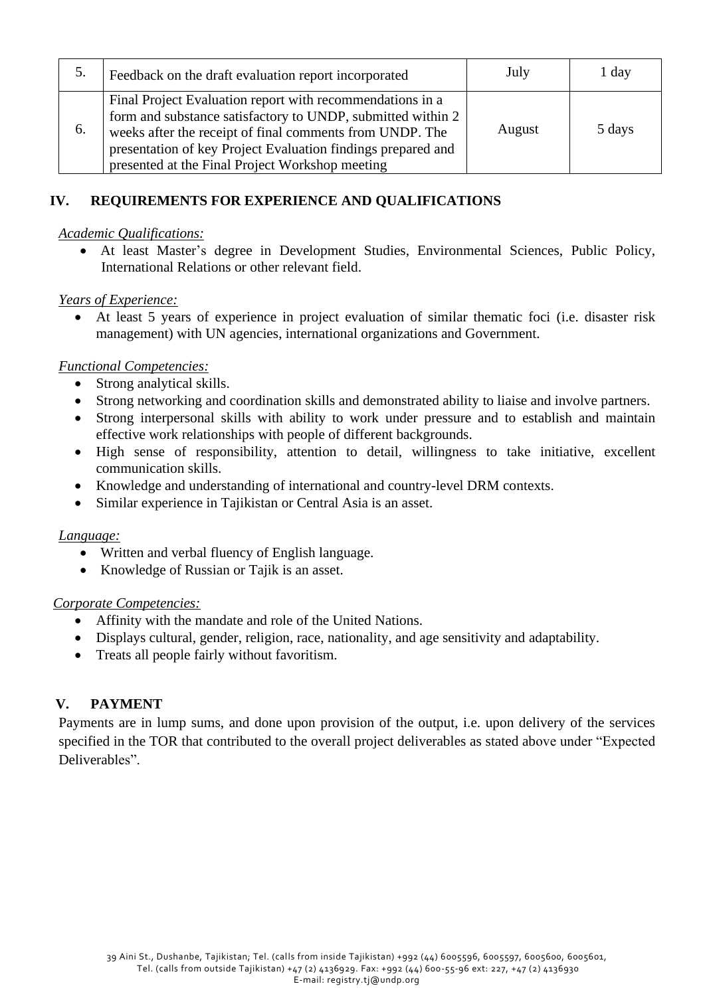| 5. | Feedback on the draft evaluation report incorporated                                                                                                                                                                                                                                                    | July   | 1 day  |
|----|---------------------------------------------------------------------------------------------------------------------------------------------------------------------------------------------------------------------------------------------------------------------------------------------------------|--------|--------|
| 6. | Final Project Evaluation report with recommendations in a<br>form and substance satisfactory to UNDP, submitted within 2<br>weeks after the receipt of final comments from UNDP. The<br>presentation of key Project Evaluation findings prepared and<br>presented at the Final Project Workshop meeting | August | 5 days |

## **IV. REQUIREMENTS FOR EXPERIENCE AND QUALIFICATIONS**

### *Academic Qualifications:*

• At least Master's degree in Development Studies, Environmental Sciences, Public Policy, International Relations or other relevant field.

### *Years of Experience:*

• At least 5 years of experience in project evaluation of similar thematic foci (i.e. disaster risk management) with UN agencies, international organizations and Government.

### *Functional Competencies:*

- Strong analytical skills.
- Strong networking and coordination skills and demonstrated ability to liaise and involve partners.
- Strong interpersonal skills with ability to work under pressure and to establish and maintain effective work relationships with people of different backgrounds.
- High sense of responsibility, attention to detail, willingness to take initiative, excellent communication skills.
- Knowledge and understanding of international and country-level DRM contexts.
- Similar experience in Tajikistan or Central Asia is an asset.

### *Language:*

- Written and verbal fluency of English language.
- Knowledge of Russian or Tajik is an asset.

#### *Corporate Competencies:*

- Affinity with the mandate and role of the United Nations.
- Displays cultural, gender, religion, race, nationality, and age sensitivity and adaptability.
- Treats all people fairly without favoritism.

### **V. PAYMENT**

Payments are in lump sums, and done upon provision of the output, i.e. upon delivery of the services specified in the TOR that contributed to the overall project deliverables as stated above under "Expected Deliverables".